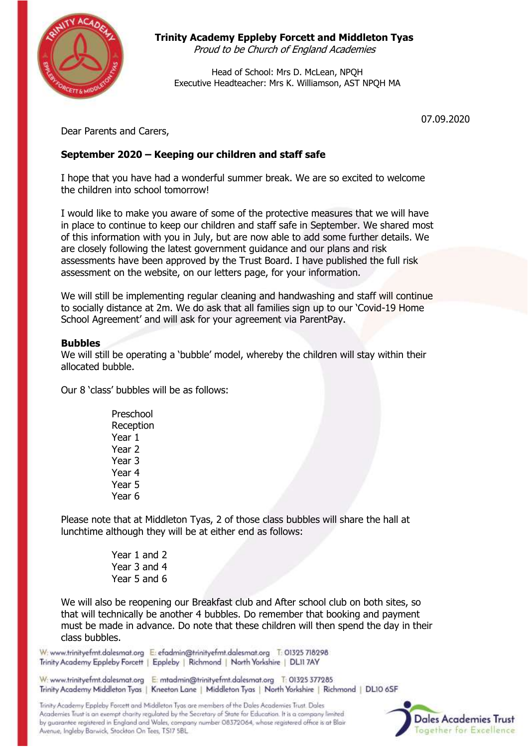

# **Trinity Academy Eppleby Forcett and Middleton Tyas**

Proud to be Church of England Academies

Head of School: Mrs D. McLean, NPQH Executive Headteacher: Mrs K. Williamson, AST NPQH MA

07.09.2020

Dear Parents and Carers,

# **September 2020 – Keeping our children and staff safe**

I hope that you have had a wonderful summer break. We are so excited to welcome the children into school tomorrow!

I would like to make you aware of some of the protective measures that we will have in place to continue to keep our children and staff safe in September. We shared most of this information with you in July, but are now able to add some further details. We are closely following the latest government guidance and our plans and risk assessments have been approved by the Trust Board. I have published the full risk assessment on the website, on our letters page, for your information.

We will still be implementing regular cleaning and handwashing and staff will continue to socially distance at 2m. We do ask that all families sign up to our 'Covid-19 Home School Agreement' and will ask for your agreement via ParentPay.

## **Bubbles**

We will still be operating a 'bubble' model, whereby the children will stay within their allocated bubble.

Our 8 'class' bubbles will be as follows:

Preschool Reception Year 1 Year 2 Year 3 Year 4 Year 5 Year 6

Please note that at Middleton Tyas, 2 of those class bubbles will share the hall at lunchtime although they will be at either end as follows:

> Year 1 and 2 Year 3 and 4 Year 5 and 6

We will also be reopening our Breakfast club and After school club on both sites, so that will technically be another 4 bubbles. Do remember that booking and payment must be made in advance. Do note that these children will then spend the day in their class bubbles.

W: www.trinityefmt.dalesmat.org E: efadmin@trinityefmt.dalesmat.org T: 01325 718298 Trinity Academy Eppleby Forcett | Eppleby | Richmond | North Yorkshire | DL11 7AY

W: www.trinityefmt.dalesmat.org E: mtadmin@trinityefmt.dalesmat.org T: 01325 377285 Trinity Academy Middleton Tyas | Kneeton Lane | Middleton Tyas | North Yorkshire | Richmond | DL10 6SF

Trinity Academy Eppleby Forcett and Middleton Tyas are members of the Dales Academies Trust. Dales Academies Trust is an exempt charity regulated by the Secretary of State for Education. It is a company limited by guarantee registered in England and Wales, company number 08372064, whose registered office is at Blair Avenue, Ingleby Barwick, Stockton On Tees, TS17 5BL

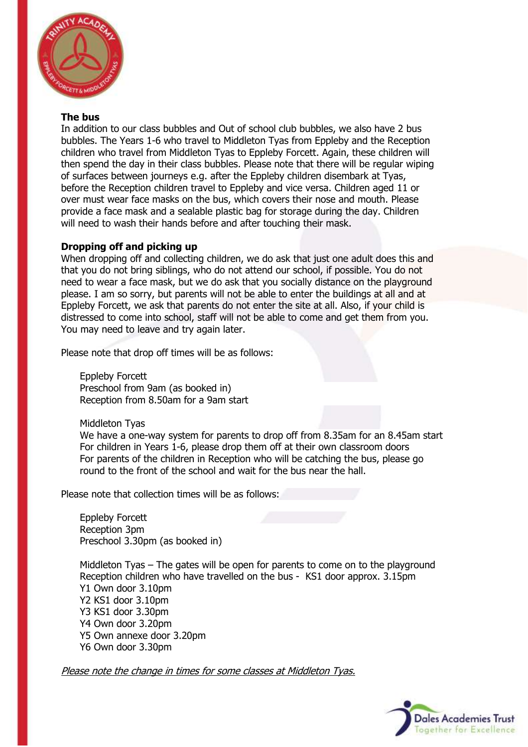

#### **The bus**

In addition to our class bubbles and Out of school club bubbles, we also have 2 bus bubbles. The Years 1-6 who travel to Middleton Tyas from Eppleby and the Reception children who travel from Middleton Tyas to Eppleby Forcett. Again, these children will then spend the day in their class bubbles. Please note that there will be regular wiping of surfaces between journeys e.g. after the Eppleby children disembark at Tyas, before the Reception children travel to Eppleby and vice versa. Children aged 11 or over must wear face masks on the bus, which covers their nose and mouth. Please provide a face mask and a sealable plastic bag for storage during the day. Children will need to wash their hands before and after touching their mask.

## **Dropping off and picking up**

When dropping off and collecting children, we do ask that just one adult does this and that you do not bring siblings, who do not attend our school, if possible. You do not need to wear a face mask, but we do ask that you socially distance on the playground please. I am so sorry, but parents will not be able to enter the buildings at all and at Eppleby Forcett, we ask that parents do not enter the site at all. Also, if your child is distressed to come into school, staff will not be able to come and get them from you. You may need to leave and try again later.

Please note that drop off times will be as follows:

Eppleby Forcett Preschool from 9am (as booked in) Reception from 8.50am for a 9am start

Middleton Tyas

We have a one-way system for parents to drop off from 8.35am for an 8.45am start For children in Years 1-6, please drop them off at their own classroom doors For parents of the children in Reception who will be catching the bus, please go round to the front of the school and wait for the bus near the hall.

Please note that collection times will be as follows:

Eppleby Forcett Reception 3pm Preschool 3.30pm (as booked in)

Middleton Tyas – The gates will be open for parents to come on to the playground Reception children who have travelled on the bus - KS1 door approx. 3.15pm Y1 Own door 3.10pm Y2 KS1 door 3.10pm Y3 KS1 door 3.30pm Y4 Own door 3.20pm Y5 Own annexe door 3.20pm Y6 Own door 3.30pm

Please note the change in times for some classes at Middleton Tyas.